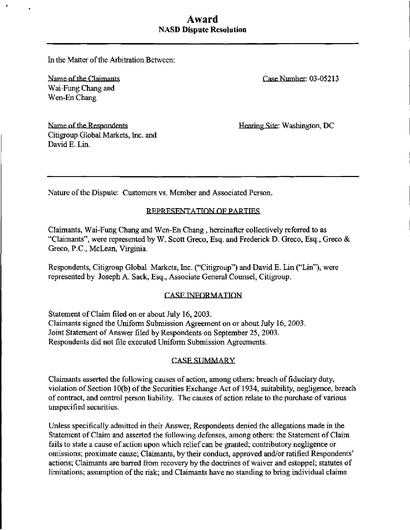# Award NASD Dispute Resolution

In the Matter of the Arbitration Between:

Name of the Claimants Wai-Fung Chang and Wen-En Chang

Name of the Respondents Citigroup Global Markets, Inc. and David E. Lin.

Case Number: 03-05213

Hearing Site: Washington, DC

Nature of the Dispute: Customers vs. Member and Associated Person.

## REPRESENTATION OF PARTTRS

Claimants, Wai-Fung Chang and Wen-En Chang , hereinafter collectively referred to as "Claimants", were represented by W. Scott Greco, Esq. and Frederick D. Greco, Esq., Greco & Greco, P.C., McLean, Virginia.

Respondents, Citigroup Global Markets, Inc. ("Citigroup") and David E. Lin ("Lin"), were represented by Joseph A. Sack, Esq., Associate General Counsel, Citigroup.

# **CASE INFORMATION**

Statement of Claim filed on or about July 16, 2003. Claimants signed the Uniform Submission Agreement on or about July 16, 2003. Joint Statement of Answer filed by Respondents on September 25, 2003. Respondents did not file executed Uniform Submission Agreements.

### **CASE SUMMARY**

Claimants asserted the following causes of action, among others: breach of fiduciary duty, violation of Section 10(b) of the Securities Exchange Act of 1934, suitability, negligence, breach of contract, and control person liability. The causes of action relate to the purchase of various unspecified securities.

Unless specifically admitted in their Answer, Respondents denied the allegations made in the Statement of Claim and asserted the following defenses, among others: the Statement of Claim fails to state a cause of action upon which relief can be granted; contributory negligence or omissions; proximate cause; Claimants, by their conduct, approved and/or ratified Respondents' actions; Claimants are barred from recovery by the doctrines of waiver and estoppel; statutes of limitations; assumption of the risk; and Claimants have no standing to bring individual claims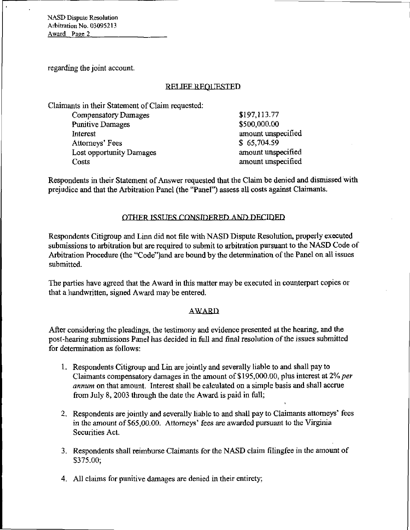NASD Dispute Resolution Arbitration No. 03095213 Award Page 2

regarding the joint account.

### RELIEF REQUESTED.

Claimants in their Statement of Claim requested:

| Compensatory Damages     | \$197,113.77       |
|--------------------------|--------------------|
| <b>Punitive Damages</b>  | \$500,000.00       |
| Interest                 | amount unspecified |
| Attorneys' Fees          | \$65,704.59        |
| Lost opportunity Damages | amount unspecified |
| Costs                    | amount unspecified |

Respondents in their Statement of Answer requested that the Claim be denied and dismissed with prejudice and that the Arbitration Panel (the "Panel") assess all costs against Claimants.

### OTHER ISSUES CONSIDERED AND DECIDED

Respondents Citigroup and Linn did not file with NASD Dispute Resolution, properly executed submissions to arbitration but are required to submit to arbitration pursuant to the NASD Code of Arbitration Procedure (the "Code")and are bound by the determination of the Panel on all issues submitted.

The parties have agreed that the Award in this matter may be executed in counterpart copies or that a handwritten, signed Award may be entered.

#### AWARD

After considering the pleadings, the testimony and evidence presented at the hearing, and the post-hearing submissions Panel has decided in full and final resolution of the issues submitted for determination as follows:

- 1. Respondents Citigroup and Lin are jointly and severally liable to and shall pay to Claimants compensatory damages in the amount of \$195,000.00, plus interest at 2% per annum on that amount. Interest shall be calculated on a simple basis and shall accrue from July 8, 2003 through the date the Award is paid in full;
- 2. Respondents are jointly and severally liable to and shall pay to Claimants attorneys' fees in the amount of \$65,00.00. Attorneys' fees are awarded pursuant to the Virginia Securities Act.

i

- 3. Respondents shall reimburse Claimants for the NASD claim filingfee in the amount of \$375.00;
- 4. All claims for punitive damages are denied in their entirety;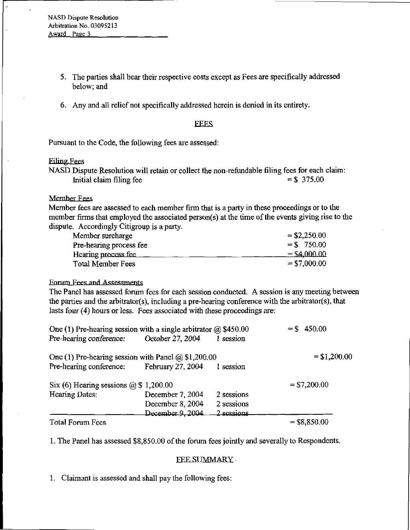- 5. The parties shall bear their respective costs except as Fees are specifically addressed below; and
- 6. Any and all relief not specifically addressed herein is denied in its entirety.

#### **EEES**

Pursuant to the Code, the following fees are assessed:

#### Filing Fees

NASD Dispute Resolution will retain or collect the non-refundable filing fees for each claim: Initial claim filing fee  $= $375.00$ 

#### Member Fees

Member fees are assessed to each member firm that is a party in these proceedings or to the member firms that employed the associated person(s) at the time of the events giving rise to the dispute. Accordingly Citigroup is a party.

| Member surcharge         | $=$ \$2,250.00 |
|--------------------------|----------------|
| Pre-hearing process fee  | $=$ \$750.00   |
| Hearing process fee      | $=$ \$4,000.00 |
| <b>Total Member Fees</b> | $=$ \$7,000.00 |

#### Forum Fees and Assessments

The Panel has assessed forum fees for each session conducted. A session is any meeting between the parties and the arbitrator(s), including a pre-hearing conference with the arbitrator(s), that lasts four (4) hours or less. Fees associated with these proceedings are:

| One (1) Pre-hearing session with a single arbitrator $\omega$ \$450.00 |                  |                    | $=$ \$ 450.00  |
|------------------------------------------------------------------------|------------------|--------------------|----------------|
| Pre-hearing conference:                                                | October 27, 2004 | session            |                |
| One (1) Pre-hearing session with Panel $@$ \$1,200.00                  |                  |                    | $=$ \$1,200.00 |
| Pre-hearing conference: February 27, 2004                              |                  | 1 session          |                |
| Six (6) Hearing sessions $\omega$ \$ 1,200.00                          |                  |                    | $=$ \$7,200.00 |
| Hearing Dates:                                                         | December 7, 2004 | 2 sessions         |                |
|                                                                        | December 8, 2004 | 2 sessions         |                |
|                                                                        | December 9, 2004 | <u> 2 sessions</u> |                |
| <b>Total Forum Fees</b>                                                |                  |                    | $=$ \$8,850.00 |

1 . The Panel has assessed \$8,850.00 of the forum fees jointly and severally to Respondents.

#### **FEE SUMMARY**

1. Claimant is assessed and shall pay the following fees: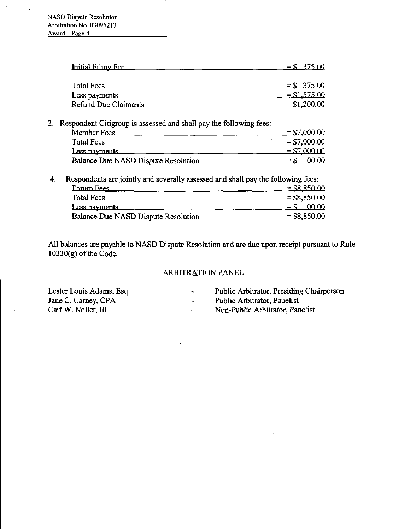| Initial Filing Fee   | $=$ \$ $-375.00$ |
|----------------------|------------------|
|                      |                  |
| Total Fees           | $=$ \$ 375.00    |
| Less payments        | $=$ \$1,575.00   |
| Refund Due Claimants | $=$ \$1,200.00   |

2. Respondent Citigroup is assessed and shall pay the following fees:

| Member Fees                         |       | $=$ \$7,000.00 |
|-------------------------------------|-------|----------------|
| <b>Total Fees</b>                   |       | $=$ \$7,000.00 |
| Less payments                       |       | $=$ \$7,000.00 |
| Balance Due NASD Dispute Resolution | $=$ S | 00.00          |

4. Respondents are jointly and severally assessed and shall pay the following fees:

| <b>Eorum Fees</b>                   | $=$ \$8,850.00   |
|-------------------------------------|------------------|
| <b>Total Fees</b>                   | $=$ \$8,850.00   |
| Less payments                       | - 00.00<br>$=$ S |
| Balance Due NASD Dispute Resolution | $=$ \$8,850.00   |

All balances are payable to NASD Dispute Resolution and are due upon receipt pursuant to Rule 10330(g) of the Code.

# ARBITRATION PANEL

Lester Louis Adams, Esq.  $\blacksquare$  Public Arbitrator, Presiding Chairperson Jane C. Carney, CPA  $\blacksquare$ Jane C. Carney, CPA - Public Arbitrator, Panelist<br>Carl W. Noller, III - Non-Public Arbitrator, Pan

- 
- 
- Non-Public Arbitrator, Panelist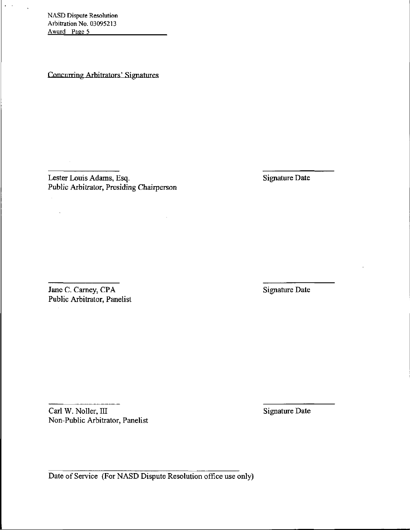NASD Dispute Resolution Arbitration No. 03095213 Award Page 5

 $\mathbf{r}=\mathbf{r}$ 

Concurring Arbitrators' Signatures

Lester Louis Adams, Esq. Signature Date Public Arbitrator, Presiding Chairperson

Jane C. Carney, CPA Signature Date Public Arbitrator, Panelist

Carl W. Noller, III Signature Date Non-Public Arbitrator, Panelist

Date of Service (For NASD Dispute Resolution office use only)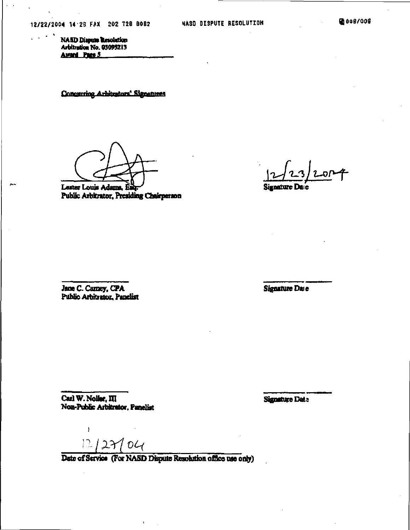IJ 006/006

NASD Dispute Resolution<br>Arbitration No. 03095213 Award Pace 5

Concurring Arhitrators' Signatures

Lester Louis Adams. £i Public Arbitrator, Presiding Chairperson

Signature Date

Jane C. Carney, CPA Public Arbitrator, Panelist

Signature Date

Carl W. Noller, III Non-Public Arbitrator, Panelist Signature Dat.;

ł  $12/27/04$ 

Date of Service (For NASD Dispute Resolution office use only)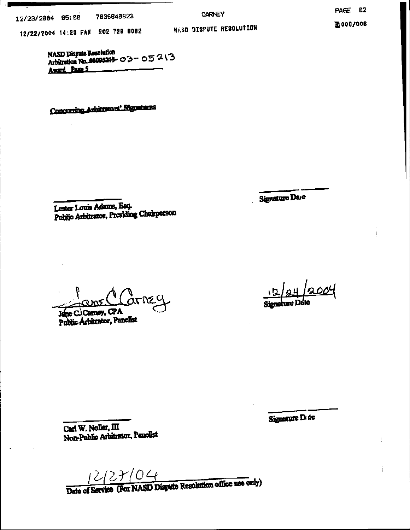12/23/2304 05;08 7036840823

12/22/2004 14:23 FAX 202 726 0002

**CARNEY** NASD DISPUTE RESOLUTION PAGE 02

团006/006

NASD Dispute Resolution NASD Dispute Resolution<br>Arbitration No. 01094213-  $\circ$  3 -  $\circ$  5  $\cdot$  1 3 Award Page 5

Concurring Arbitrators' Signatures

Signature Dare

Lester Louis Adams, Esq.<br>Public Arbitrator, Presiding Chairperson

Jane C. Carney, CPA

Public Arbitrator, Panelist

<u>004</u>

Signanute D. de

j

Carl W. Noller, III Non-Public Arbitrator, Panelist

12/27/04<br>Date of Service (For NASD Dispute Resolution office use only)